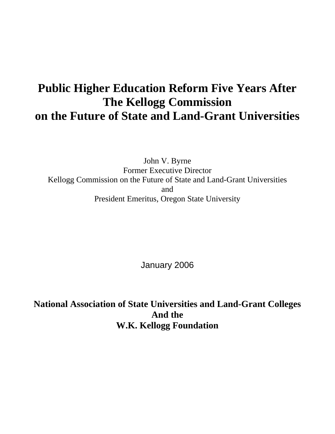# **Public Higher Education Reform Five Years After The Kellogg Commission on the Future of State and Land-Grant Universities**

John V. Byrne Former Executive Director Kellogg Commission on the Future of State and Land-Grant Universities and President Emeritus, Oregon State University

January 2006

**National Association of State Universities and Land-Grant Colleges And the W.K. Kellogg Foundation**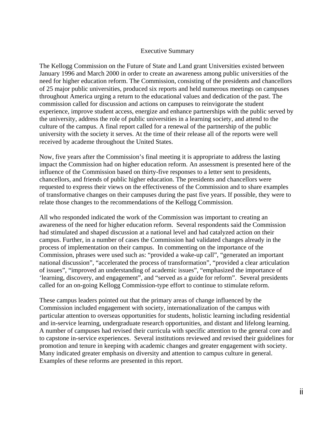#### Executive Summary

The Kellogg Commission on the Future of State and Land grant Universities existed between January 1996 and March 2000 in order to create an awareness among public universities of the need for higher education reform. The Commission, consisting of the presidents and chancellors of 25 major public universities, produced six reports and held numerous meetings on campuses throughout America urging a return to the educational values and dedication of the past. The commission called for discussion and actions on campuses to reinvigorate the student experience, improve student access, energize and enhance partnerships with the public served by the university, address the role of public universities in a learning society, and attend to the culture of the campus. A final report called for a renewal of the partnership of the public university with the society it serves. At the time of their release all of the reports were well received by academe throughout the United States.

Now, five years after the Commission's final meeting it is appropriate to address the lasting impact the Commission had on higher education reform. An assessment is presented here of the influence of the Commission based on thirty-five responses to a letter sent to presidents, chancellors, and friends of public higher education. The presidents and chancellors were requested to express their views on the effectiveness of the Commission and to share examples of transformative changes on their campuses during the past five years. If possible, they were to relate those changes to the recommendations of the Kellogg Commission.

All who responded indicated the work of the Commission was important to creating an awareness of the need for higher education reform. Several respondents said the Commission had stimulated and shaped discussion at a national level and had catalyzed action on their campus. Further, in a number of cases the Commission had validated changes already in the process of implementation on their campus. In commenting on the importance of the Commission, phrases were used such as: "provided a wake-up call", "generated an important national discussion", "accelerated the process of transformation", "provided a clear articulation of issues", "improved an understanding of academic issues", "emphasized the importance of 'learning, discovery, and engagement", and "served as a guide for reform". Several presidents called for an on-going Kellogg Commission-type effort to continue to stimulate reform.

These campus leaders pointed out that the primary areas of change influenced by the Commission included engagement with society, internationalization of the campus with particular attention to overseas opportunities for students, holistic learning including residential and in-service learning, undergraduate research opportunities, and distant and lifelong learning. A number of campuses had revised their curricula with specific attention to the general core and to capstone in-service experiences. Several institutions reviewed and revised their guidelines for promotion and tenure in keeping with academic changes and greater engagement with society. Many indicated greater emphasis on diversity and attention to campus culture in general. Examples of these reforms are presented in this report.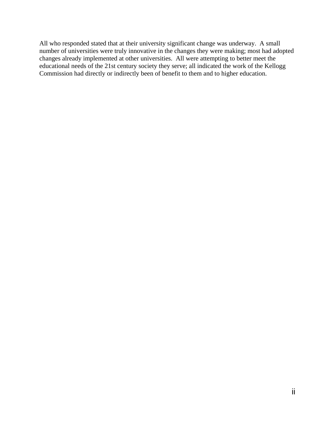All who responded stated that at their university significant change was underway. A small number of universities were truly innovative in the changes they were making; most had adopted changes already implemented at other universities. All were attempting to better meet the educational needs of the 21st century society they serve; all indicated the work of the Kellogg Commission had directly or indirectly been of benefit to them and to higher education.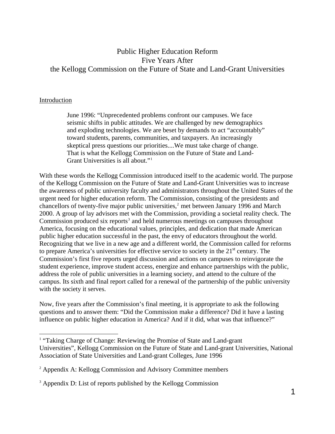# Public Higher Education Reform Five Years After the Kellogg Commission on the Future of State and Land-Grant Universities

### Introduction

 $\overline{a}$ 

June 1996: "Unprecedented problems confront our campuses. We face seismic shifts in public attitudes. We are challenged by new demographics and exploding technologies. We are beset by demands to act "accountably" toward students, parents, communities, and taxpayers. An increasingly skeptical press questions our priorities....We must take charge of change. That is what the Kellogg Commission on the Future of State and Land-Grant Universities is all about."<sup>[1](#page-3-0)</sup>

With these words the Kellogg Commission introduced itself to the academic world. The purpose of the Kellogg Commission on the Future of State and Land-Grant Universities was to increase the awareness of public university faculty and administrators throughout the United States of the urgent need for higher education reform. The Commission, consisting of the presidents and chancellors of twenty-five major public universities,<sup>[2](#page-3-1)</sup> met between January 1996 and March 2000. A group of lay advisors met with the Commission, providing a societal reality check. The Commission produced six reports<sup>[3](#page-3-2)</sup> and held numerous meetings on campuses throughout America, focusing on the educational values, principles, and dedication that made American public higher education successful in the past, the envy of educators throughout the world. Recognizing that we live in a new age and a different world, the Commission called for reforms to prepare America's universities for effective service to society in the  $21<sup>st</sup>$  century. The Commission's first five reports urged discussion and actions on campuses to reinvigorate the student experience, improve student access, energize and enhance partnerships with the public, address the role of public universities in a learning society, and attend to the culture of the campus. Its sixth and final report called for a renewal of the partnership of the public university with the society it serves.

Now, five years after the Commission's final meeting, it is appropriate to ask the following questions and to answer them: "Did the Commission make a difference? Did it have a lasting influence on public higher education in America? And if it did, what was that influence?"

<span id="page-3-0"></span><sup>&</sup>lt;sup>1</sup> "Taking Charge of Change: Reviewing the Promise of State and Land-grant Universities", Kellogg Commission on the Future of State and Land-grant Universities, National Association of State Universities and Land-grant Colleges, June 1996

<span id="page-3-1"></span><sup>2</sup> Appendix A: Kellogg Commission and Advisory Committee members

<span id="page-3-2"></span><sup>&</sup>lt;sup>3</sup> Appendix D: List of reports published by the Kellogg Commission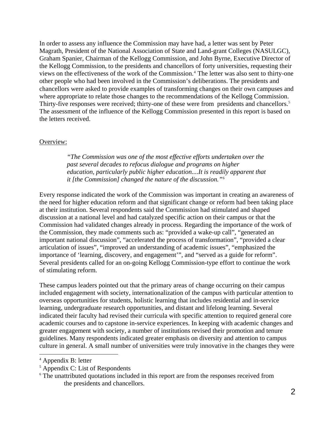In order to assess any influence the Commission may have had, a letter was sent by Peter Magrath, President of the National Association of State and Land-grant Colleges (NASULGC), Graham Spanier, Chairman of the Kellogg Commission, and John Byrne, Executive Director of the Kellogg Commission, to the presidents and chancellors of forty universities, requesting their views on the effectiveness of the work of the Commission.<sup>[4](#page-4-0)</sup> The letter was also sent to thirty-one other people who had been involved in the Commission's deliberations. The presidents and chancellors were asked to provide examples of transforming changes on their own campuses and where appropriate to relate those changes to the recommendations of the Kellogg Commission. Thirty-five responses were received; thirty-one of these were from presidents and chancellors.<sup>[5](#page-4-1)</sup> The assessment of the influence of the Kellogg Commission presented in this report is based on the letters received.

#### Overview:

*"The Commission was one of the most effective efforts undertaken over the past several decades to refocus dialogue and programs on higher education, particularly public higher education....It is readily apparent that it [the Commission] changed the nature of the discussion."*[6](#page-4-2)

Every response indicated the work of the Commission was important in creating an awareness of the need for higher education reform and that significant change or reform had been taking place at their institution. Several respondents said the Commission had stimulated and shaped discussion at a national level and had catalyzed specific action on their campus or that the Commission had validated changes already in process. Regarding the importance of the work of the Commission, they made comments such as: "provided a wake-up call", "generated an important national discussion", "accelerated the process of transformation", "provided a clear articulation of issues", "improved an understanding of academic issues", "emphasized the importance of 'learning, discovery, and engagement'", and "served as a guide for reform". Several presidents called for an on-going Kellogg Commission-type effort to continue the work of stimulating reform.

These campus leaders pointed out that the primary areas of change occurring on their campus included engagement with society, internationalization of the campus with particular attention to overseas opportunities for students, holistic learning that includes residential and in-service learning, undergraduate research opportunities, and distant and lifelong learning. Several indicated their faculty had revised their curricula with specific attention to required general core academic courses and to capstone in-service experiences. In keeping with academic changes and greater engagement with society, a number of institutions revised their promotion and tenure guidelines. Many respondents indicated greater emphasis on diversity and attention to campus culture in general. A small number of universities were truly innovative in the changes they were

l

<span id="page-4-0"></span><sup>4</sup> Appendix B: letter

<span id="page-4-1"></span><sup>5</sup> Appendix C: List of Respondents

<span id="page-4-2"></span><sup>&</sup>lt;sup>6</sup> The unattributed quotations included in this report are from the responses received from the presidents and chancellors.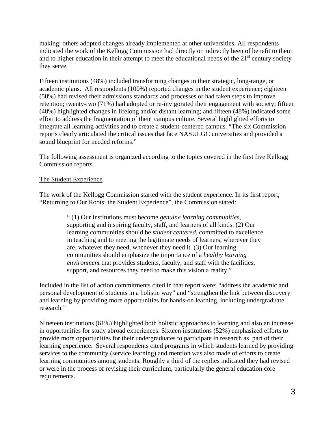making; others adopted changes already implemented at other universities. All respondents indicated the work of the Kellogg Commission had directly or indirectly been of benefit to them and to higher education in their attempt to meet the educational needs of the  $21<sup>st</sup>$  century society they serve.

Fifteen institutions (48%) included transforming changes in their strategic, long-range, or academic plans. All respondents (100%) reported changes in the student experience; eighteen (58%) had revised their admissions standards and processes or had taken steps to improve retention; twenty-two (71%) had adopted or re-invigorated their engagement with society; fifteen (48%) highlighted changes in lifelong and/or distant learning; and fifteen (48%) indicated some effort to address the fragmentation of their campus culture. Several highlighted efforts to integrate all learning activities and to create a student-centered campus. "The six Commission reports clearly articulated the critical issues that face NASULGC universities and provided a sound blueprint for needed reforms."

The following assessment is organized according to the topics covered in the first five Kellogg Commission reports.

#### The Student Experience

The work of the Kellogg Commission started with the student experience. In its first report, "Returning to Our Roots: the Student Experience", the Commission stated:

> " (1) Our institutions must become *genuine learning communities*, supporting and inspiring faculty, staff, and learners of all kinds. (2) Our learning communities should be *student centered*, committed to excellence in teaching and to meeting the legitimate needs of learners, wherever they are, whatever they need, whenever they need it. (3) Our learning communities should emphasize the importance of a *healthy learning environment* that provides students, faculty, and staff with the facilities, support, and resources they need to make this vision a reality."

Included in the list of action commitments cited in that report were: "address the academic and personal development of students in a holistic way" and "strengthen the link between discovery and learning by providing more opportunities for hands-on learning, including undergraduate research."

Nineteen institutions (61%) highlighted both holistic approaches to learning and also an increase in opportunities for study abroad experiences. Sixteen institutions (52%) emphasized efforts to provide more opportunities for their undergraduates to participate in research as part of their learning experience. Several respondents cited programs in which students learned by providing services to the community (service learning) and mention was also made of efforts to create learning communities among students. Roughly a third of the replies indicated they had revised or were in the process of revising their curriculum, particularly the general education core requirements.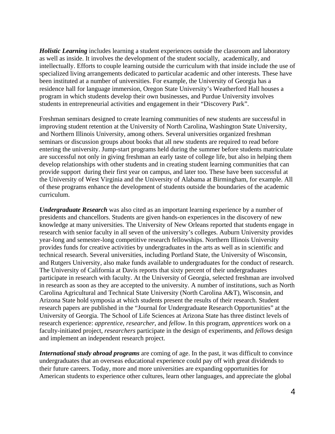*Holistic Learning* includes learning a student experiences outside the classroom and laboratory as well as inside. It involves the development of the student socially, academically, and intellectually. Efforts to couple learning outside the curriculum with that inside include the use of specialized living arrangements dedicated to particular academic and other interests. These have been instituted at a number of universities. For example, the University of Georgia has a residence hall for language immersion, Oregon State University's Weatherford Hall houses a program in which students develop their own businesses, and Purdue University involves students in entrepreneurial activities and engagement in their "Discovery Park".

Freshman seminars designed to create learning communities of new students are successful in improving student retention at the University of North Carolina, Washington State University, and Northern Illinois University, among others. Several universities organized freshman seminars or discussion groups about books that all new students are required to read before entering the university. Jump-start programs held during the summer before students matriculate are successful not only in giving freshman an early taste of college life, but also in helping them develop relationships with other students and in creating student learning communities that can provide support during their first year on campus, and later too. These have been successful at the University of West Virginia and the University of Alabama at Birmingham, for example. All of these programs enhance the development of students outside the boundaries of the academic curriculum.

*Undergraduate Research* was also cited as an important learning experience by a number of presidents and chancellors. Students are given hands-on experiences in the discovery of new knowledge at many universities. The University of New Orleans reported that students engage in research with senior faculty in all seven of the university's colleges. Auburn University provides year-long and semester-long competitive research fellowships. Northern Illinois University provides funds for creative activities by undergraduates in the arts as well as in scientific and technical research. Several universities, including Portland State, the University of Wisconsin, and Rutgers University, also make funds available to undergraduates for the conduct of research. The University of California at Davis reports that sixty percent of their undergraduates participate in research with faculty. At the University of Georgia, selected freshman are involved in research as soon as they are accepted to the university. A number of institutions, such as North Carolina Agricultural and Technical State University (North Carolina A&T), Wisconsin, and Arizona State hold symposia at which students present the results of their research. Student research papers are published in the "Journal for Undergraduate Research Opportunities" at the University of Georgia. The School of Life Sciences at Arizona State has three distinct levels of research experience: *apprentice*, *researcher*, and *fellow*. In this program, *apprentices* work on a faculty-initiated project, *researchers* participate in the design of experiments, and *fellows* design and implement an independent research project.

*International study abroad programs* are coming of age. In the past, it was difficult to convince undergraduates that an overseas educational experience could pay off with great dividends to their future careers. Today, more and more universities are expanding opportunities for American students to experience other cultures, learn other languages, and appreciate the global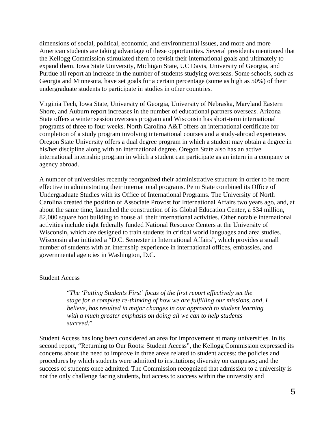dimensions of social, political, economic, and environmental issues, and more and more American students are taking advantage of these opportunities. Several presidents mentioned that the Kellogg Commission stimulated them to revisit their international goals and ultimately to expand them. Iowa State University, Michigan State, UC Davis, University of Georgia, and Purdue all report an increase in the number of students studying overseas. Some schools, such as Georgia and Minnesota, have set goals for a certain percentage (some as high as 50%) of their undergraduate students to participate in studies in other countries.

Virginia Tech, Iowa State, University of Georgia, University of Nebraska, Maryland Eastern Shore, and Auburn report increases in the number of educational partners overseas. Arizona State offers a winter session overseas program and Wisconsin has short-term international programs of three to four weeks. North Carolina A&T offers an international certificate for completion of a study program involving international courses and a study-abroad experience. Oregon State University offers a dual degree program in which a student may obtain a degree in his/her discipline along with an international degree. Oregon State also has an active international internship program in which a student can participate as an intern in a company or agency abroad.

A number of universities recently reorganized their administrative structure in order to be more effective in administrating their international programs. Penn State combined its Office of Undergraduate Studies with its Office of International Programs. The University of North Carolina created the position of Associate Provost for International Affairs two years ago, and, at about the same time, launched the construction of its Global Education Center, a \$34 million, 82,000 square foot building to house all their international activities. Other notable international activities include eight federally funded National Resource Centers at the University of Wisconsin, which are designed to train students in critical world languages and area studies. Wisconsin also initiated a "D.C. Semester in International Affairs", which provides a small number of students with an internship experience in international offices, embassies, and governmental agencies in Washington, D.C.

#### Student Access

"*The 'Putting Students First' focus of the first report effectively set the stage for a complete re-thinking of how we are fulfilling our missions, and, I believe, has resulted in major changes in our approach to student learning with a much greater emphasis on doing all we can to help students succeed*."

Student Access has long been considered an area for improvement at many universities. In its second report, "Returning to Our Roots: Student Access", the Kellogg Commission expressed its concerns about the need to improve in three areas related to student access: the policies and procedures by which students were admitted to institutions; diversity on campuses; and the success of students once admitted. The Commission recognized that admission to a university is not the only challenge facing students, but access to success within the university and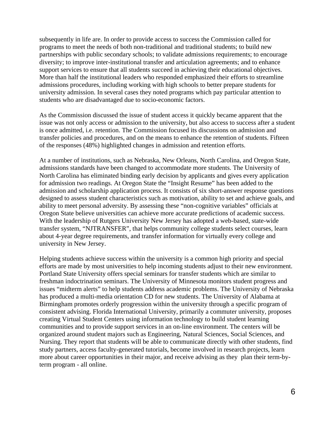subsequently in life are. In order to provide access to success the Commission called for programs to meet the needs of both non-traditional and traditional students; to build new partnerships with public secondary schools; to validate admissions requirements; to encourage diversity; to improve inter-institutional transfer and articulation agreements; and to enhance support services to ensure that all students succeed in achieving their educational objectives. More than half the institutional leaders who responded emphasized their efforts to streamline admissions procedures, including working with high schools to better prepare students for university admission. In several cases they noted programs which pay particular attention to students who are disadvantaged due to socio-economic factors.

As the Commission discussed the issue of student access it quickly became apparent that the issue was not only access or admission to the university, but also access to success after a student is once admitted, i.e. retention. The Commission focused its discussions on admission and transfer policies and procedures, and on the means to enhance the retention of students. Fifteen of the responses (48%) highlighted changes in admission and retention efforts.

At a number of institutions, such as Nebraska, New Orleans, North Carolina, and Oregon State, admissions standards have been changed to accommodate more students. The University of North Carolina has eliminated binding early decision by applicants and gives every application for admission two readings. At Oregon State the "Insight Resume" has been added to the admission and scholarship application process. It consists of six short-answer response questions designed to assess student characteristics such as motivation, ability to set and achieve goals, and ability to meet personal adversity. By assessing these "non-cognitive variables" officials at Oregon State believe universities can achieve more accurate predictions of academic success. With the leadership of Rutgers University New Jersey has adopted a web-based, state-wide transfer system, "NJTRANSFER", that helps community college students select courses, learn about 4-year degree requirements, and transfer information for virtually every college and university in New Jersey.

Helping students achieve success within the university is a common high priority and special efforts are made by most universities to help incoming students adjust to their new environment. Portland State University offers special seminars for transfer students which are similar to freshman indoctrination seminars. The University of Minnesota monitors student progress and issues "midterm alerts" to help students address academic problems. The University of Nebraska has produced a multi-media orientation CD for new students. The University of Alabama at Birmingham promotes orderly progression within the university through a specific program of consistent advising. Florida International University, primarily a commuter university, proposes creating Virtual Student Centers using information technology to build student learning communities and to provide support services in an on-line environment. The centers will be organized around student majors such as Engineering, Natural Sciences, Social Sciences, and Nursing. They report that students will be able to communicate directly with other students, find study partners, access faculty-generated tutorials, become involved in research projects, learn more about career opportunities in their major, and receive advising as they plan their term-byterm program - all online.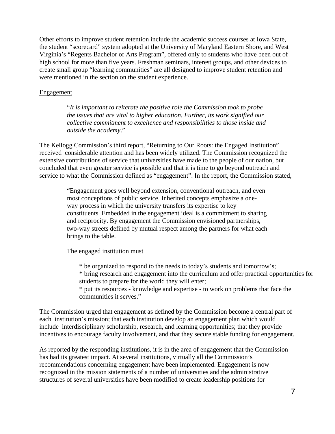Other efforts to improve student retention include the academic success courses at Iowa State, the student "scorecard" system adopted at the University of Maryland Eastern Shore, and West Virginia's "Regents Bachelor of Arts Program", offered only to students who have been out of high school for more than five years. Freshman seminars, interest groups, and other devices to create small group "learning communities" are all designed to improve student retention and were mentioned in the section on the student experience.

#### Engagement

"*It is important to reiterate the positive role the Commission took to probe the issues that are vital to higher education. Further, its work signified our collective commitment to excellence and responsibilities to those inside and outside the academy*."

The Kellogg Commission's third report, "Returning to Our Roots: the Engaged Institution" received considerable attention and has been widely utilized. The Commission recognized the extensive contributions of service that universities have made to the people of our nation, but concluded that even greater service is possible and that it is time to go beyond outreach and service to what the Commission defined as "engagement". In the report, the Commission stated,

> "Engagement goes well beyond extension, conventional outreach, and even most conceptions of public service. Inherited concepts emphasize a oneway process in which the university transfers its expertise to key constituents. Embedded in the engagement ideal is a commitment to sharing and reciprocity. By engagement the Commission envisioned partnerships, two-way streets defined by mutual respect among the partners for what each brings to the table.

The engaged institution must

- \* be organized to respond to the needs to today's students and tomorrow's;
- \* bring research and engagement into the curriculum and offer practical opportunities for students to prepare for the world they will enter;
- \* put its resources knowledge and expertise to work on problems that face the communities it serves."

The Commission urged that engagement as defined by the Commission become a central part of each institution's mission; that each institution develop an engagement plan which would include interdisciplinary scholarship, research, and learning opportunities; that they provide incentives to encourage faculty involvement, and that they secure stable funding for engagement.

As reported by the responding institutions, it is in the area of engagement that the Commission has had its greatest impact. At several institutions, virtually all the Commission's recommendations concerning engagement have been implemented. Engagement is now recognized in the mission statements of a number of universities and the administrative structures of several universities have been modified to create leadership positions for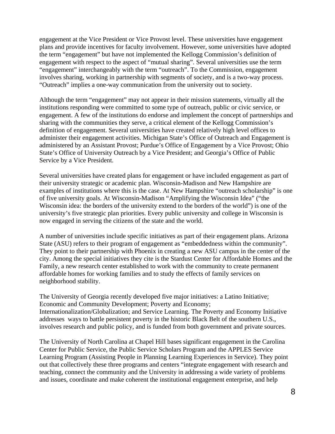engagement at the Vice President or Vice Provost level. These universities have engagement plans and provide incentives for faculty involvement. However, some universities have adopted the term "engagement" but have not implemented the Kellogg Commission's definition of engagement with respect to the aspect of "mutual sharing". Several universities use the term "engagement" interchangeably with the term "outreach". To the Commission, engagement involves sharing, working in partnership with segments of society, and is a two-way process. "Outreach" implies a one-way communication from the university out to society.

Although the term "engagement" may not appear in their mission statements, virtually all the institutions responding were committed to some type of outreach, public or civic service, or engagement. A few of the institutions do endorse and implement the concept of partnerships and sharing with the communities they serve, a critical element of the Kellogg Commission's definition of engagement. Several universities have created relatively high level offices to administer their engagement activities. Michigan State's Office of Outreach and Engagement is administered by an Assistant Provost; Purdue's Office of Engagement by a Vice Provost; Ohio State's Office of University Outreach by a Vice President; and Georgia's Office of Public Service by a Vice President.

Several universities have created plans for engagement or have included engagement as part of their university strategic or academic plan. Wisconsin-Madison and New Hampshire are examples of institutions where this is the case. At New Hampshire "outreach scholarship" is one of five university goals. At Wisconsin-Madison "Amplifying the Wisconsin Idea" ("the Wisconsin idea: the borders of the university extend to the borders of the world") is one of the university's five strategic plan priorities. Every public university and college in Wisconsin is now engaged in serving the citizens of the state and the world.

A number of universities include specific initiatives as part of their engagement plans. Arizona State (ASU) refers to their program of engagement as "embeddedness within the community". They point to their partnership with Phoenix in creating a new ASU campus in the center of the city. Among the special initiatives they cite is the Stardust Center for Affordable Homes and the Family, a new research center established to work with the community to create permanent affordable homes for working families and to study the effects of family services on neighborhood stability.

The University of Georgia recently developed five major initiatives: a Latino Initiative; Economic and Community Development; Poverty and Economy; Internationalization/Globalization; and Service Learning. The Poverty and Economy Initiative addresses ways to battle persistent poverty in the historic Black Belt of the southern U.S., involves research and public policy, and is funded from both government and private sources.

The University of North Carolina at Chapel Hill bases significant engagement in the Carolina Center for Public Service, the Public Service Scholars Program and the APPLES Service Learning Program (Assisting People in Planning Learning Experiences in Service). They point out that collectively these three programs and centers "integrate engagement with research and teaching, connect the community and the University in addressing a wide variety of problems and issues, coordinate and make coherent the institutional engagement enterprise, and help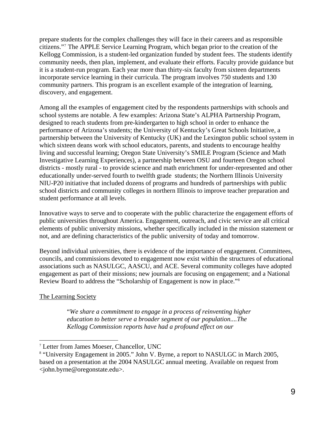prepare students for the complex challenges they will face in their careers and as responsible citizens.["7](#page-11-0) The APPLE Service Learning Program, which began prior to the creation of the Kellogg Commission, is a student-led organization funded by student fees. The students identify community needs, then plan, implement, and evaluate their efforts. Faculty provide guidance but it is a student-run program. Each year more than thirty-six faculty from sixteen departments incorporate service learning in their curricula. The program involves 750 students and 130 community partners. This program is an excellent example of the integration of learning, discovery, and engagement.

Among all the examples of engagement cited by the respondents partnerships with schools and school systems are notable. A few examples: Arizona State's ALPHA Partnership Program, designed to reach students from pre-kindergarten to high school in order to enhance the performance of Arizona's students; the University of Kentucky's Great Schools Initiative, a partnership between the University of Kentucky (UK) and the Lexington public school system in which sixteen deans work with school educators, parents, and students to encourage healthy living and successful learning; Oregon State University's SMILE Program (Science and Math Investigative Learning Experiences), a partnership between OSU and fourteen Oregon school districts - mostly rural - to provide science and math enrichment for under-represented and other educationally under-served fourth to twelfth grade students; the Northern Illinois University NIU-P20 initiative that included dozens of programs and hundreds of partnerships with public school districts and community colleges in northern Illinois to improve teacher preparation and student performance at all levels.

Innovative ways to serve and to cooperate with the public characterize the engagement efforts of public universities throughout America. Engagement, outreach, and civic service are all critical elements of public university missions, whether specifically included in the mission statement or not, and are defining characteristics of the public university of today and tomorrow.

Beyond individual universities, there is evidence of the importance of engagement. Committees, councils, and commissions devoted to engagement now exist within the structures of educational associations such as NASULGC, AASCU, and ACE. Several community colleges have adopted engagement as part of their missions; new journals are focusing on engagement; and a National Review Board to address the "Scholarship of Engagement is now in place."[8](#page-11-1)

# The Learning Society

 $\overline{\phantom{a}}$ 

"*We share a commitment to engage in a process of reinventing higher education to better serve a broader segment of our population....The Kellogg Commission reports have had a profound effect on our* 

<span id="page-11-0"></span><sup>7</sup> Letter from James Moeser, Chancellor, UNC

<span id="page-11-1"></span><sup>&</sup>lt;sup>8</sup> "University Engagement in 2005." John V. Byrne, a report to NASULGC in March 2005, based on a presentation at the 2004 NASULGC annual meeting. Available on request from <john.byrne@oregonstate.edu>.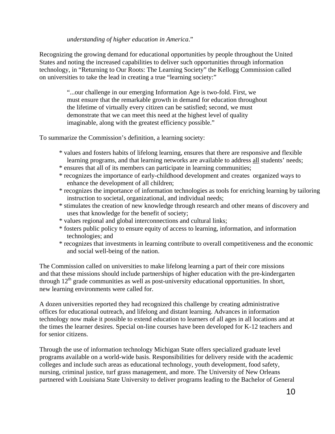### *understanding of higher education in America*."

Recognizing the growing demand for educational opportunities by people throughout the United States and noting the increased capabilities to deliver such opportunities through information technology, in "Returning to Our Roots: The Learning Society" the Kellogg Commission called on universities to take the lead in creating a true "learning society:"

> "...our challenge in our emerging Information Age is two-fold. First, we must ensure that the remarkable growth in demand for education throughout the lifetime of virtually every citizen can be satisfied; second, we must demonstrate that we can meet this need at the highest level of quality imaginable, along with the greatest efficiency possible."

To summarize the Commission's definition, a learning society:

- \* values and fosters habits of lifelong learning, ensures that there are responsive and flexible learning programs, and that learning networks are available to address all students' needs;
- \* ensures that all of its members can participate in learning communities;
- \* recognizes the importance of early-childhood development and creates organized ways to enhance the development of all children;
- \* recognizes the importance of information technologies as tools for enriching learning by tailoring instruction to societal, organizational, and individual needs;
- \* stimulates the creation of new knowledge through research and other means of discovery and uses that knowledge for the benefit of society;
- \* values regional and global interconnections and cultural links;
- \* fosters public policy to ensure equity of access to learning, information, and information technologies; and
- \* recognizes that investments in learning contribute to overall competitiveness and the economic and social well-being of the nation.

The Commission called on universities to make lifelong learning a part of their core missions and that these missions should include partnerships of higher education with the pre-kindergarten through  $12<sup>th</sup>$  grade communities as well as post-university educational opportunities. In short, new learning environments were called for.

A dozen universities reported they had recognized this challenge by creating administrative offices for educational outreach, and lifelong and distant learning. Advances in information technology now make it possible to extend education to learners of all ages in all locations and at the times the learner desires. Special on-line courses have been developed for K-12 teachers and for senior citizens.

Through the use of information technology Michigan State offers specialized graduate level programs available on a world-wide basis. Responsibilities for delivery reside with the academic colleges and include such areas as educational technology, youth development, food safety, nursing, criminal justice, turf grass management, and more. The University of New Orleans partnered with Louisiana State University to deliver programs leading to the Bachelor of General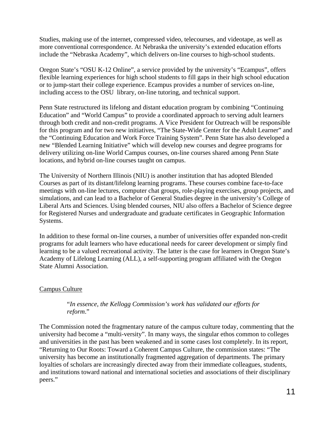Studies, making use of the internet, compressed video, telecourses, and videotape, as well as more conventional correspondence. At Nebraska the university's extended education efforts include the "Nebraska Academy", which delivers on-line courses to high-school students.

Oregon State's "OSU K-12 Online", a service provided by the university's "Ecampus", offers flexible learning experiences for high school students to fill gaps in their high school education or to jump-start their college experience. Ecampus provides a number of services on-line, including access to the OSU library, on-line tutoring, and technical support.

Penn State restructured its lifelong and distant education program by combining "Continuing Education" and "World Campus" to provide a coordinated approach to serving adult learners through both credit and non-credit programs. A Vice President for Outreach will be responsible for this program and for two new initiatives, "The State-Wide Center for the Adult Learner" and the "Continuing Education and Work Force Training System". Penn State has also developed a new "Blended Learning Initiative" which will develop new courses and degree programs for delivery utilizing on-line World Campus courses, on-line courses shared among Penn State locations, and hybrid on-line courses taught on campus.

The University of Northern Illinois (NIU) is another institution that has adopted Blended Courses as part of its distant/lifelong learning programs. These courses combine face-to-face meetings with on-line lectures, computer chat groups, role-playing exercises, group projects, and simulations, and can lead to a Bachelor of General Studies degree in the university's College of Liberal Arts and Sciences. Using blended courses, NIU also offers a Bachelor of Science degree for Registered Nurses and undergraduate and graduate certificates in Geographic Information Systems.

In addition to these formal on-line courses, a number of universities offer expanded non-credit programs for adult learners who have educational needs for career development or simply find learning to be a valued recreational activity. The latter is the case for learners in Oregon State's Academy of Lifelong Learning (ALL), a self-supporting program affiliated with the Oregon State Alumni Association.

# Campus Culture

### "*In essence, the Kellogg Commission's work has validated our efforts for reform*."

The Commission noted the fragmentary nature of the campus culture today, commenting that the university had become a "multi-versity". In many ways, the singular ethos common to colleges and universities in the past has been weakened and in some cases lost completely. In its report, "Returning to Our Roots: Toward a Coherent Campus Culture, the commission states: "The university has become an institutionally fragmented aggregation of departments. The primary loyalties of scholars are increasingly directed away from their immediate colleagues, students, and institutions toward national and international societies and associations of their disciplinary peers."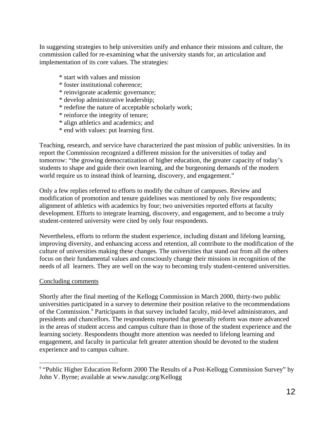In suggesting strategies to help universities unify and enhance their missions and culture, the commission called for re-examining what the university stands for, an articulation and implementation of its core values. The strategies:

- \* start with values and mission
- \* foster institutional coherence;
- \* reinvigorate academic governance;
- \* develop administrative leadership;
- \* redefine the nature of acceptable scholarly work;
- \* reinforce the integrity of tenure;
- \* align athletics and academics; and
- \* end with values: put learning first.

Teaching, research, and service have characterized the past mission of public universities. In its report the Commission recognized a different mission for the universities of today and tomorrow: "the growing democratization of higher education, the greater capacity of today's students to shape and guide their own learning, and the burgeoning demands of the modern world require us to instead think of learning, discovery, and engagement."

Only a few replies referred to efforts to modify the culture of campuses. Review and modification of promotion and tenure guidelines was mentioned by only five respondents; alignment of athletics with academics by four; two universities reported efforts at faculty development. Efforts to integrate learning, discovery, and engagement, and to become a truly student-centered university were cited by only four respondents.

Nevertheless, efforts to reform the student experience, including distant and lifelong learning, improving diversity, and enhancing access and retention, all contribute to the modification of the culture of universities making these changes. The universities that stand out from all the others focus on their fundamental values and consciously change their missions in recognition of the needs of all learners. They are well on the way to becoming truly student-centered universities.

#### Concluding comments

 $\overline{\phantom{a}}$ 

Shortly after the final meeting of the Kellogg Commission in March 2000, thirty-two public universities participated in a survey to determine their position relative to the recommendations of the Commission.<sup>[9](#page-14-0)</sup> Participants in that survey included faculty, mid-level administrators, and presidents and chancellors. The respondents reported that generally reform was more advanced in the areas of student access and campus culture than in those of the student experience and the learning society. Respondents thought more attention was needed to lifelong learning and engagement, and faculty in particular felt greater attention should be devoted to the student experience and to campus culture.

<span id="page-14-0"></span><sup>&</sup>lt;sup>9</sup> "Public Higher Education Reform 2000 The Results of a Post-Kellogg Commission Survey" by John V. Byrne; available at www.nasulgc.org/Kellogg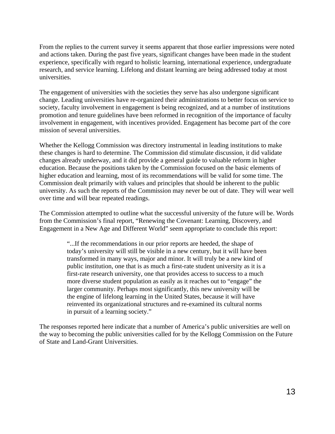From the replies to the current survey it seems apparent that those earlier impressions were noted and actions taken. During the past five years, significant changes have been made in the student experience, specifically with regard to holistic learning, international experience, undergraduate research, and service learning. Lifelong and distant learning are being addressed today at most universities.

The engagement of universities with the societies they serve has also undergone significant change. Leading universities have re-organized their administrations to better focus on service to society, faculty involvement in engagement is being recognized, and at a number of institutions promotion and tenure guidelines have been reformed in recognition of the importance of faculty involvement in engagement, with incentives provided. Engagement has become part of the core mission of several universities.

Whether the Kellogg Commission was directory instrumental in leading institutions to make these changes is hard to determine. The Commission did stimulate discussion, it did validate changes already underway, and it did provide a general guide to valuable reform in higher education. Because the positions taken by the Commission focused on the basic elements of higher education and learning, most of its recommendations will be valid for some time. The Commission dealt primarily with values and principles that should be inherent to the public university. As such the reports of the Commission may never be out of date. They will wear well over time and will bear repeated readings.

The Commission attempted to outline what the successful university of the future will be. Words from the Commission's final report, "Renewing the Covenant: Learning, Discovery, and Engagement in a New Age and Different World" seem appropriate to conclude this report:

> "...If the recommendations in our prior reports are heeded, the shape of today's university will still be visible in a new century, but it will have been transformed in many ways, major and minor. It will truly be a new kind of public institution, one that is as much a first-rate student university as it is a first-rate research university, one that provides access to success to a much more diverse student population as easily as it reaches out to "engage" the larger community. Perhaps most significantly, this new university will be the engine of lifelong learning in the United States, because it will have reinvented its organizational structures and re-examined its cultural norms in pursuit of a learning society."

The responses reported here indicate that a number of America's public universities are well on the way to becoming the public universities called for by the Kellogg Commission on the Future of State and Land-Grant Universities.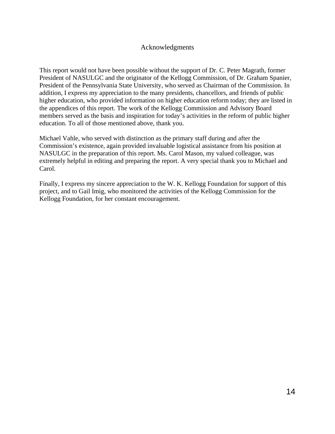# Acknowledgments

This report would not have been possible without the support of Dr. C. Peter Magrath, former President of NASULGC and the originator of the Kellogg Commission, of Dr. Graham Spanier, President of the Pennsylvania State University, who served as Chairman of the Commission. In addition, I express my appreciation to the many presidents, chancellors, and friends of public higher education, who provided information on higher education reform today; they are listed in the appendices of this report. The work of the Kellogg Commission and Advisory Board members served as the basis and inspiration for today's activities in the reform of public higher education. To all of those mentioned above, thank you.

Michael Vahle, who served with distinction as the primary staff during and after the Commission's existence, again provided invaluable logistical assistance from his position at NASULGC in the preparation of this report. Ms. Carol Mason, my valued colleague, was extremely helpful in editing and preparing the report. A very special thank you to Michael and Carol.

Finally, I express my sincere appreciation to the W. K. Kellogg Foundation for support of this project, and to Gail Imig, who monitored the activities of the Kellogg Commission for the Kellogg Foundation, for her constant encouragement.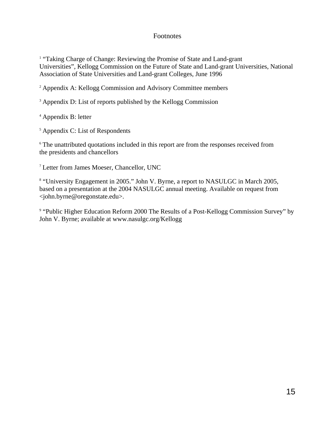# Footnotes

<sup>1</sup> "Taking Charge of Change: Reviewing the Promise of State and Land-grant Universities", Kellogg Commission on the Future of State and Land-grant Universities, National Association of State Universities and Land-grant Colleges, June 1996

<sup>2</sup> Appendix A: Kellogg Commission and Advisory Committee members

<sup>3</sup> Appendix D: List of reports published by the Kellogg Commission

<sup>4</sup> Appendix B: letter

<sup>5</sup> Appendix C: List of Respondents

<sup>6</sup> The unattributed quotations included in this report are from the responses received from the presidents and chancellors

<sup>7</sup> Letter from James Moeser, Chancellor, UNC

<sup>8</sup> "University Engagement in 2005." John V. Byrne, a report to NASULGC in March 2005, based on a presentation at the 2004 NASULGC annual meeting. Available on request from <john.byrne@oregonstate.edu>.

<sup>9</sup> "Public Higher Education Reform 2000 The Results of a Post-Kellogg Commission Survey" by John V. Byrne; available at www.nasulgc.org/Kellogg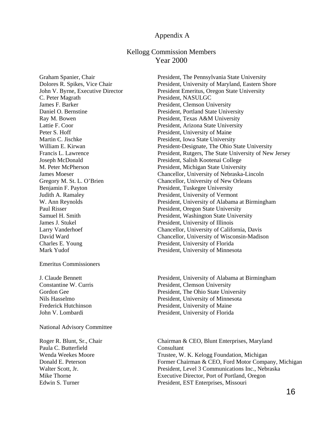#### Appendix A

# Kellogg Commission Members Year 2000

C. Peter Magrath President, NASULGC James F. Barker President, Clemson University Peter S. Hoff President, University of Maine Martin C. Jischke President, Iowa State University James J. Stukel President, University of Illinois Charles E. Young President, University of Florida

#### Emeritus Commissioners

National Advisory Committee

Paula C. Butterfield Consultant

Graham Spanier, Chair President, The Pennsylvania State University Dolores R. Spikes, Vice Chair President, University of Maryland, Eastern Shore John V. Byrne, Executive Director President Emeritus, Oregon State University Daniel O. Bernstine President, Portland State University Ray M. Bowen **President, Texas A&M University** Lattie F. Coor **President, Arizona State University** William E. Kirwan **President-Designate**, The Ohio State University Francis L. Lawrence **President, Rutgers, The State University of New Jersey** Joseph McDonald President, Salish Kootenai College M. Peter McPherson President, Michigan State University James Moeser Chancellor, University of Nebraska-Lincoln Gregory M. St. L. O'Brien Chancellor, University of New Orleans<br>Benjamin F. Payton President, Tuskegee University President, Tuskegee University Judith A. Ramaley President, University of Vermont W. Ann Reynolds President, University of Alabama at Birmingham Paul Risser President, Oregon State University Samuel H. Smith President, Washington State University Larry Vanderhoef Chancellor, University of California, Davis David Ward Chancellor, University of Wisconsin-Madison Mark Yudof President, University of Minnesota

J. Claude Bennett President, University of Alabama at Birmingham Constantine W. Curris **President, Clemson University** Gordon Gee **President, The Ohio State University** Nils Hasselmo President, University of Minnesota Frederick Hutchinson<br>
President, University of Maine John V. Lombardi President, University of Florida

Roger R. Blunt, Sr., Chair Chairman & CEO, Blunt Enterprises, Maryland Wenda Weekes Moore Trustee, W. K. Kelogg Foundation, Michigan Donald E. Peterson Former Chairman & CEO, Ford Motor Company, Michigan Walter Scott, Jr. President, Level 3 Communications Inc., Nebraska Mike Thorne Executive Director, Port of Portland, Oregon Edwin S. Turner President, EST Enterprises, Missouri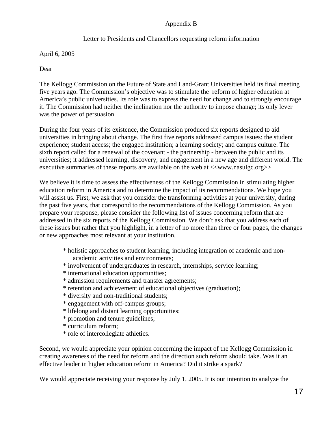# Appendix B

# Letter to Presidents and Chancellors requesting reform information

April 6, 2005

Dear

The Kellogg Commission on the Future of State and Land-Grant Universities held its final meeting five years ago. The Commission's objective was to stimulate the reform of higher education at America's public universities. Its role was to express the need for change and to strongly encourage it. The Commission had neither the inclination nor the authority to impose change; its only lever was the power of persuasion.

During the four years of its existence, the Commission produced six reports designed to aid universities in bringing about change. The first five reports addressed campus issues: the student experience; student access; the engaged institution; a learning society; and campus culture. The sixth report called for a renewal of the covenant - the partnership - between the public and its universities; it addressed learning, discovery, and engagement in a new age and different world. The executive summaries of these reports are available on the web at  $\langle \langle \text{www.nasulgc.org} \rangle$ .

We believe it is time to assess the effectiveness of the Kellogg Commission in stimulating higher education reform in America and to determine the impact of its recommendations. We hope you will assist us. First, we ask that you consider the transforming activities at your university, during the past five years, that correspond to the recommendations of the Kellogg Commission. As you prepare your response, please consider the following list of issues concerning reform that are addressed in the six reports of the Kellogg Commission. We don't ask that you address each of these issues but rather that you highlight, in a letter of no more than three or four pages, the changes or new approaches most relevant at your institution.

- \* holistic approaches to student learning, including integration of academic and non academic activities and environments;
- \* involvement of undergraduates in research, internships, service learning;
- \* international education opportunities;
- \* admission requirements and transfer agreements;
- \* retention and achievement of educational objectives (graduation);
- \* diversity and non-traditional students;
- \* engagement with off-campus groups;
- \* lifelong and distant learning opportunities;
- \* promotion and tenure guidelines;
- \* curriculum reform;
- \* role of intercollegiate athletics.

Second, we would appreciate your opinion concerning the impact of the Kellogg Commission in creating awareness of the need for reform and the direction such reform should take. Was it an effective leader in higher education reform in America? Did it strike a spark?

We would appreciate receiving your response by July 1, 2005. It is our intention to analyze the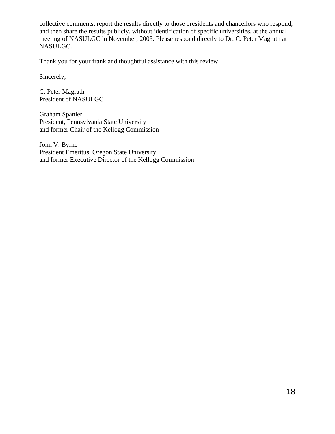collective comments, report the results directly to those presidents and chancellors who respond, and then share the results publicly, without identification of specific universities, at the annual meeting of NASULGC in November, 2005. Please respond directly to Dr. C. Peter Magrath at NASULGC.

Thank you for your frank and thoughtful assistance with this review.

Sincerely,

C. Peter Magrath President of NASULGC

Graham Spanier President, Pennsylvania State University and former Chair of the Kellogg Commission

John V. Byrne President Emeritus, Oregon State University and former Executive Director of the Kellogg Commission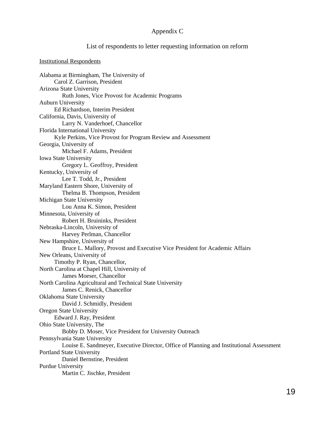#### Appendix C

#### List of respondents to letter requesting information on reform

#### Institutional Respondents

Alabama at Birmingham, The University of Carol Z. Garrison, President Arizona State University Ruth Jones, Vice Provost for Academic Programs Auburn University Ed Richardson, Interim President California, Davis, University of Larry N. Vanderhoef, Chancellor Florida International University Kyle Perkins, Vice Provost for Program Review and Assessment Georgia, University of Michael F. Adams, President Iowa State University Gregory L. Geoffroy, President Kentucky, University of Lee T. Todd, Jr., President Maryland Eastern Shore, University of Thelma B. Thompson, President Michigan State University Lou Anna K. Simon, President Minnesota, University of Robert H. Bruininks, President Nebraska-Lincoln, University of Harvey Perlman, Chancellor New Hampshire, University of Bruce L. Mallory, Provost and Executive Vice President for Academic Affairs New Orleans, University of Timothy P. Ryan, Chancellor, North Carolina at Chapel Hill, University of James Moeser, Chancellor North Carolina Agricultural and Technical State University James C. Renick, Chancellor Oklahoma State University David J. Schmidly, President Oregon State University Edward J. Ray, President Ohio State University, The Bobby D. Moser, Vice President for University Outreach Pennsylvania State University Louise E. Sandmeyer, Executive Director, Office of Planning and Institutional Assessment Portland State University Daniel Bernstine, President Purdue University Martin C. Jischke, President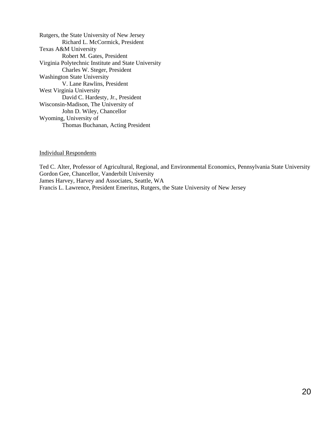Rutgers, the State University of New Jersey Richard L. McCormick, President Texas A&M University Robert M. Gates, President Virginia Polytechnic Institute and State University Charles W. Steger, President Washington State University V. Lane Rawlins, President West Virginia University David C. Hardesty, Jr., President Wisconsin-Madison, The University of John D. Wiley, Chancellor Wyoming, University of Thomas Buchanan, Acting President

#### Individual Respondents

Ted C. Alter, Professor of Agricultural, Regional, and Environmental Economics, Pennsylvania State University Gordon Gee, Chancellor, Vanderbilt University James Harvey, Harvey and Associates, Seattle, WA Francis L. Lawrence, President Emeritus, Rutgers, the State University of New Jersey